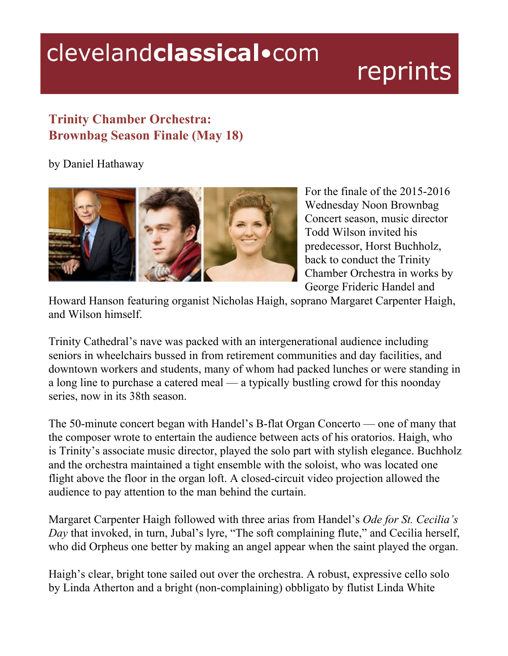## clevelandclassical.com

## reprints

## **Trinity Chamber Orchestra: Brownbag Season Finale (May 18)**

by Daniel Hathaway



For the finale of the  $2015-2016$ Wednesday Noon Brownbag Concert season, music director Todd Wilson invited his predecessor, Horst Buchholz, back to conduct the Trinity Chamber Orchestra in works by George Frideric Handel and

Howard Hanson featuring organist Nicholas Haigh, soprano Margaret Carpenter Haigh, and Wilson himself.

Trinity Cathedral's nave was packed with an intergenerational audience including seniors in wheelchairs bussed in from retirement communities and day facilities, and downtown workers and students, many of whom had packed lunches or were standing in a long line to purchase a catered meal — a typically bustling crowd for this noonday series, now in its 38th season.

The 50-minute concert began with Handel's B-flat Organ Concerto — one of many that the composer wrote to entertain the audience between acts of his oratorios. Haigh, who is Trinity's associate music director, played the solo part with stylish elegance. Buchholz and the orchestra maintained a tight ensemble with the soloist, who was located one flight above the floor in the organ loft. A closed-circuit video projection allowed the audience to pay attention to the man behind the curtain.

Margaret Carpenter Haigh followed with three arias from Handel's *Ode for St. Cecilia's Day* that invoked, in turn, Jubal's lyre, "The soft complaining flute," and Cecilia herself, who did Orpheus one better by making an angel appear when the saint played the organ.

Haigh's clear, bright tone sailed out over the orchestra. A robust, expressive cello solo by Linda Atherton and a bright (non-complaining) obbligato by flutist Linda White